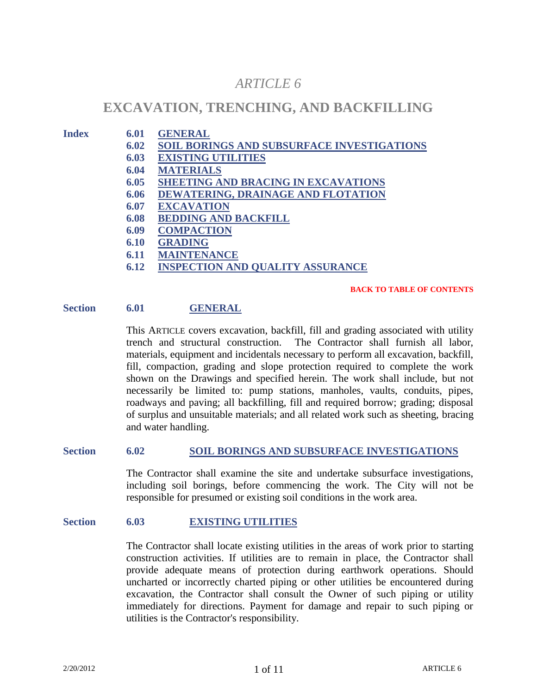# *ARTICLE 6*

# **EXCAVATION, TRENCHING, AND BACKFILLING**

#### **Index 6.01 GENERAL**

- **6.02 SOIL BORINGS AND SUBSURFACE INVESTIGATIONS**
- **6.03 EXISTING UTILITIES**
- **6.04 MATERIALS**
- **6.05 SHEETING AND BRACING IN EXCAVATIONS**
- **6.06 DEWATERING, DRAINAGE AND FLOTATION**
- **6.07 EXCAVATION**
- **6.08 BEDDING AND BACKFILL**
- **6.09 COMPACTION**
- **6.10 GRADING**
- **6.11 MAINTENANCE**
- **6.12 INSPECTION AND QUALITY ASSURANCE**

#### **BACK TO TABLE OF CONTENTS**

## **Section 6.01 GENERAL**

This ARTICLE covers excavation, backfill, fill and grading associated with utility trench and structural construction. The Contractor shall furnish all labor, materials, equipment and incidentals necessary to perform all excavation, backfill, fill, compaction, grading and slope protection required to complete the work shown on the Drawings and specified herein. The work shall include, but not necessarily be limited to: pump stations, manholes, vaults, conduits, pipes, roadways and paving; all backfilling, fill and required borrow; grading; disposal of surplus and unsuitable materials; and all related work such as sheeting, bracing and water handling.

# **Section 6.02 SOIL BORINGS AND SUBSURFACE INVESTIGATIONS**

The Contractor shall examine the site and undertake subsurface investigations, including soil borings, before commencing the work. The City will not be responsible for presumed or existing soil conditions in the work area.

#### **Section 6.03 EXISTING UTILITIES**

The Contractor shall locate existing utilities in the areas of work prior to starting construction activities. If utilities are to remain in place, the Contractor shall provide adequate means of protection during earthwork operations. Should uncharted or incorrectly charted piping or other utilities be encountered during excavation, the Contractor shall consult the Owner of such piping or utility immediately for directions. Payment for damage and repair to such piping or utilities is the Contractor's responsibility.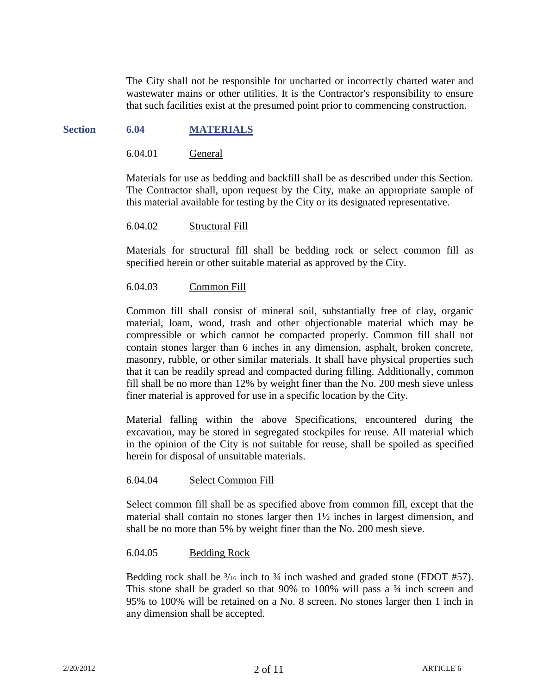The City shall not be responsible for uncharted or incorrectly charted water and wastewater mains or other utilities. It is the Contractor's responsibility to ensure that such facilities exist at the presumed point prior to commencing construction.

# **Section 6.04 MATERIALS**

6.04.01 General

Materials for use as bedding and backfill shall be as described under this Section. The Contractor shall, upon request by the City, make an appropriate sample of this material available for testing by the City or its designated representative.

## 6.04.02 Structural Fill

Materials for structural fill shall be bedding rock or select common fill as specified herein or other suitable material as approved by the City.

## 6.04.03 Common Fill

Common fill shall consist of mineral soil, substantially free of clay, organic material, loam, wood, trash and other objectionable material which may be compressible or which cannot be compacted properly. Common fill shall not contain stones larger than 6 inches in any dimension, asphalt, broken concrete, masonry, rubble, or other similar materials. It shall have physical properties such that it can be readily spread and compacted during filling. Additionally, common fill shall be no more than 12% by weight finer than the No. 200 mesh sieve unless finer material is approved for use in a specific location by the City.

Material falling within the above Specifications, encountered during the excavation, may be stored in segregated stockpiles for reuse. All material which in the opinion of the City is not suitable for reuse, shall be spoiled as specified herein for disposal of unsuitable materials.

#### 6.04.04 Select Common Fill

Select common fill shall be as specified above from common fill, except that the material shall contain no stones larger then 1½ inches in largest dimension, and shall be no more than 5% by weight finer than the No. 200 mesh sieve.

#### 6.04.05 Bedding Rock

Bedding rock shall be  $\frac{3}{16}$  inch to  $\frac{3}{4}$  inch washed and graded stone (FDOT #57). This stone shall be graded so that 90% to 100% will pass a ¾ inch screen and 95% to 100% will be retained on a No. 8 screen. No stones larger then 1 inch in any dimension shall be accepted.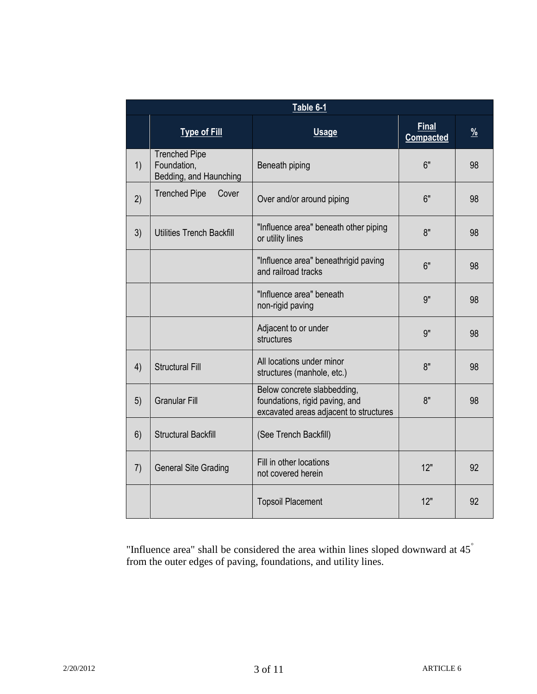| Table 6-1 |                                                               |                                                                                                         |                                  |                       |
|-----------|---------------------------------------------------------------|---------------------------------------------------------------------------------------------------------|----------------------------------|-----------------------|
|           | <b>Type of Fill</b>                                           | <b>Usage</b>                                                                                            | <b>Final</b><br><b>Compacted</b> | $\frac{\%}{\sqrt{2}}$ |
| 1)        | <b>Trenched Pipe</b><br>Foundation,<br>Bedding, and Haunching | Beneath piping                                                                                          | 6"                               | 98                    |
| 2)        | <b>Trenched Pipe</b><br>Cover                                 | Over and/or around piping                                                                               | 6"                               | 98                    |
| 3)        | <b>Utilities Trench Backfill</b>                              | "Influence area" beneath other piping<br>or utility lines                                               | 8"                               | 98                    |
|           |                                                               | "Influence area" beneathrigid paving<br>and railroad tracks                                             | 6"                               | 98                    |
|           |                                                               | "Influence area" beneath<br>non-rigid paving                                                            | 9"                               | 98                    |
|           |                                                               | Adjacent to or under<br>structures                                                                      | 9"                               | 98                    |
| 4)        | <b>Structural Fill</b>                                        | All locations under minor<br>structures (manhole, etc.)                                                 | 8"                               | 98                    |
| 5)        | <b>Granular Fill</b>                                          | Below concrete slabbedding,<br>foundations, rigid paving, and<br>excavated areas adjacent to structures | 8"                               | 98                    |
| 6)        | <b>Structural Backfill</b>                                    | (See Trench Backfill)                                                                                   |                                  |                       |
| 7)        | <b>General Site Grading</b>                                   | Fill in other locations<br>not covered herein                                                           | 12"                              | 92                    |
|           |                                                               | <b>Topsoil Placement</b>                                                                                | 12"                              | 92                    |

"Influence area" shall be considered the area within lines sloped downward at  $45^{\degree}$ from the outer edges of paving, foundations, and utility lines.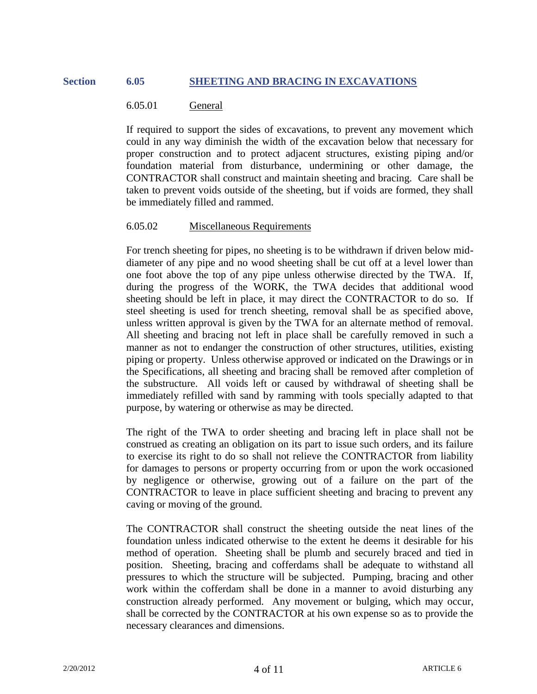# **Section 6.05 SHEETING AND BRACING IN EXCAVATIONS**

# 6.05.01 General

If required to support the sides of excavations, to prevent any movement which could in any way diminish the width of the excavation below that necessary for proper construction and to protect adjacent structures, existing piping and/or foundation material from disturbance, undermining or other damage, the CONTRACTOR shall construct and maintain sheeting and bracing. Care shall be taken to prevent voids outside of the sheeting, but if voids are formed, they shall be immediately filled and rammed.

## 6.05.02 Miscellaneous Requirements

For trench sheeting for pipes, no sheeting is to be withdrawn if driven below middiameter of any pipe and no wood sheeting shall be cut off at a level lower than one foot above the top of any pipe unless otherwise directed by the TWA. If, during the progress of the WORK, the TWA decides that additional wood sheeting should be left in place, it may direct the CONTRACTOR to do so. If steel sheeting is used for trench sheeting, removal shall be as specified above, unless written approval is given by the TWA for an alternate method of removal. All sheeting and bracing not left in place shall be carefully removed in such a manner as not to endanger the construction of other structures, utilities, existing piping or property. Unless otherwise approved or indicated on the Drawings or in the Specifications, all sheeting and bracing shall be removed after completion of the substructure. All voids left or caused by withdrawal of sheeting shall be immediately refilled with sand by ramming with tools specially adapted to that purpose, by watering or otherwise as may be directed.

The right of the TWA to order sheeting and bracing left in place shall not be construed as creating an obligation on its part to issue such orders, and its failure to exercise its right to do so shall not relieve the CONTRACTOR from liability for damages to persons or property occurring from or upon the work occasioned by negligence or otherwise, growing out of a failure on the part of the CONTRACTOR to leave in place sufficient sheeting and bracing to prevent any caving or moving of the ground.

The CONTRACTOR shall construct the sheeting outside the neat lines of the foundation unless indicated otherwise to the extent he deems it desirable for his method of operation. Sheeting shall be plumb and securely braced and tied in position. Sheeting, bracing and cofferdams shall be adequate to withstand all pressures to which the structure will be subjected. Pumping, bracing and other work within the cofferdam shall be done in a manner to avoid disturbing any construction already performed. Any movement or bulging, which may occur, shall be corrected by the CONTRACTOR at his own expense so as to provide the necessary clearances and dimensions.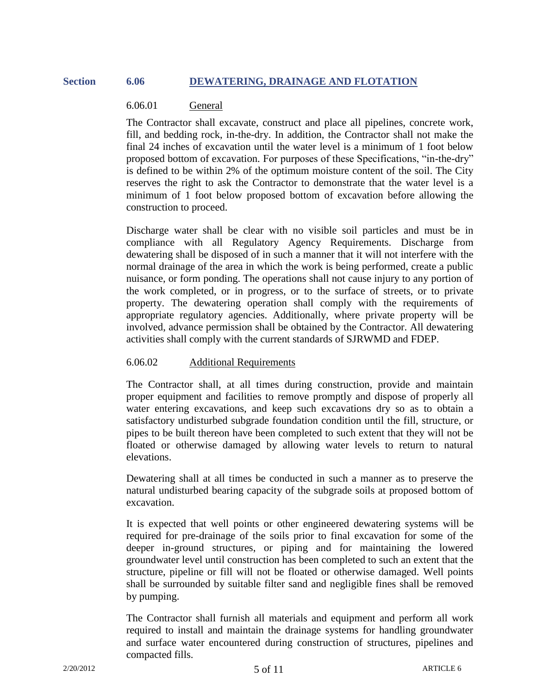# **Section 6.06 DEWATERING, DRAINAGE AND FLOTATION**

# 6.06.01 General

The Contractor shall excavate, construct and place all pipelines, concrete work, fill, and bedding rock, in-the-dry. In addition, the Contractor shall not make the final 24 inches of excavation until the water level is a minimum of 1 foot below proposed bottom of excavation. For purposes of these Specifications, "in-the-dry" is defined to be within 2% of the optimum moisture content of the soil. The City reserves the right to ask the Contractor to demonstrate that the water level is a minimum of 1 foot below proposed bottom of excavation before allowing the construction to proceed.

Discharge water shall be clear with no visible soil particles and must be in compliance with all Regulatory Agency Requirements. Discharge from dewatering shall be disposed of in such a manner that it will not interfere with the normal drainage of the area in which the work is being performed, create a public nuisance, or form ponding. The operations shall not cause injury to any portion of the work completed, or in progress, or to the surface of streets, or to private property. The dewatering operation shall comply with the requirements of appropriate regulatory agencies. Additionally, where private property will be involved, advance permission shall be obtained by the Contractor. All dewatering activities shall comply with the current standards of SJRWMD and FDEP.

# 6.06.02 Additional Requirements

The Contractor shall, at all times during construction, provide and maintain proper equipment and facilities to remove promptly and dispose of properly all water entering excavations, and keep such excavations dry so as to obtain a satisfactory undisturbed subgrade foundation condition until the fill, structure, or pipes to be built thereon have been completed to such extent that they will not be floated or otherwise damaged by allowing water levels to return to natural elevations.

Dewatering shall at all times be conducted in such a manner as to preserve the natural undisturbed bearing capacity of the subgrade soils at proposed bottom of excavation.

It is expected that well points or other engineered dewatering systems will be required for pre-drainage of the soils prior to final excavation for some of the deeper in-ground structures, or piping and for maintaining the lowered groundwater level until construction has been completed to such an extent that the structure, pipeline or fill will not be floated or otherwise damaged. Well points shall be surrounded by suitable filter sand and negligible fines shall be removed by pumping.

The Contractor shall furnish all materials and equipment and perform all work required to install and maintain the drainage systems for handling groundwater and surface water encountered during construction of structures, pipelines and compacted fills.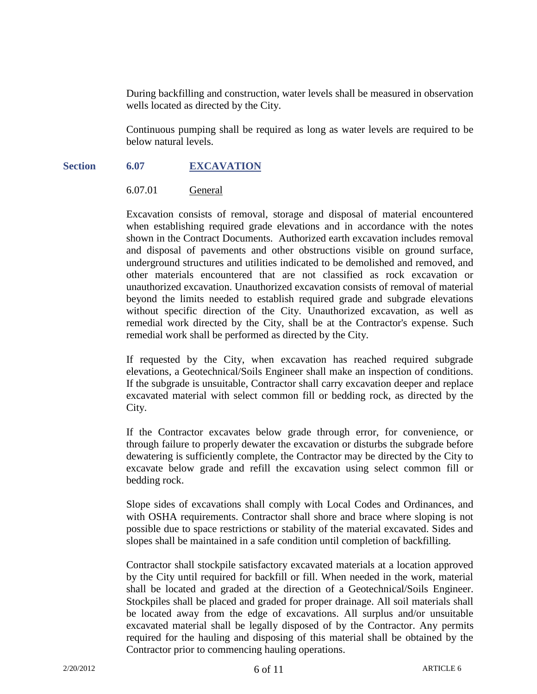During backfilling and construction, water levels shall be measured in observation wells located as directed by the City.

Continuous pumping shall be required as long as water levels are required to be below natural levels.

# **Section 6.07 EXCAVATION**

## 6.07.01 General

Excavation consists of removal, storage and disposal of material encountered when establishing required grade elevations and in accordance with the notes shown in the Contract Documents. Authorized earth excavation includes removal and disposal of pavements and other obstructions visible on ground surface, underground structures and utilities indicated to be demolished and removed, and other materials encountered that are not classified as rock excavation or unauthorized excavation. Unauthorized excavation consists of removal of material beyond the limits needed to establish required grade and subgrade elevations without specific direction of the City. Unauthorized excavation, as well as remedial work directed by the City, shall be at the Contractor's expense. Such remedial work shall be performed as directed by the City.

If requested by the City, when excavation has reached required subgrade elevations, a Geotechnical/Soils Engineer shall make an inspection of conditions. If the subgrade is unsuitable, Contractor shall carry excavation deeper and replace excavated material with select common fill or bedding rock, as directed by the City.

If the Contractor excavates below grade through error, for convenience, or through failure to properly dewater the excavation or disturbs the subgrade before dewatering is sufficiently complete, the Contractor may be directed by the City to excavate below grade and refill the excavation using select common fill or bedding rock.

Slope sides of excavations shall comply with Local Codes and Ordinances, and with OSHA requirements. Contractor shall shore and brace where sloping is not possible due to space restrictions or stability of the material excavated. Sides and slopes shall be maintained in a safe condition until completion of backfilling.

Contractor shall stockpile satisfactory excavated materials at a location approved by the City until required for backfill or fill. When needed in the work, material shall be located and graded at the direction of a Geotechnical/Soils Engineer. Stockpiles shall be placed and graded for proper drainage. All soil materials shall be located away from the edge of excavations. All surplus and/or unsuitable excavated material shall be legally disposed of by the Contractor. Any permits required for the hauling and disposing of this material shall be obtained by the Contractor prior to commencing hauling operations.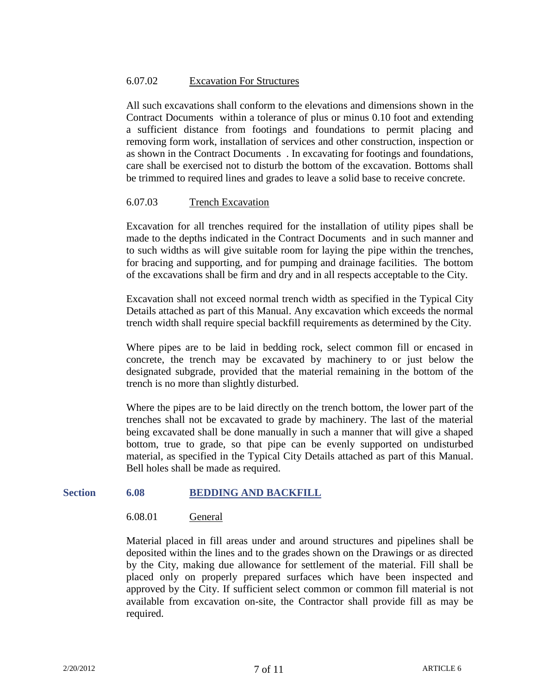# 6.07.02 Excavation For Structures

All such excavations shall conform to the elevations and dimensions shown in the Contract Documents within a tolerance of plus or minus 0.10 foot and extending a sufficient distance from footings and foundations to permit placing and removing form work, installation of services and other construction, inspection or as shown in the Contract Documents . In excavating for footings and foundations, care shall be exercised not to disturb the bottom of the excavation. Bottoms shall be trimmed to required lines and grades to leave a solid base to receive concrete.

# 6.07.03 Trench Excavation

Excavation for all trenches required for the installation of utility pipes shall be made to the depths indicated in the Contract Documents and in such manner and to such widths as will give suitable room for laying the pipe within the trenches, for bracing and supporting, and for pumping and drainage facilities. The bottom of the excavations shall be firm and dry and in all respects acceptable to the City.

Excavation shall not exceed normal trench width as specified in the Typical City Details attached as part of this Manual. Any excavation which exceeds the normal trench width shall require special backfill requirements as determined by the City.

Where pipes are to be laid in bedding rock, select common fill or encased in concrete, the trench may be excavated by machinery to or just below the designated subgrade, provided that the material remaining in the bottom of the trench is no more than slightly disturbed.

Where the pipes are to be laid directly on the trench bottom, the lower part of the trenches shall not be excavated to grade by machinery. The last of the material being excavated shall be done manually in such a manner that will give a shaped bottom, true to grade, so that pipe can be evenly supported on undisturbed material, as specified in the Typical City Details attached as part of this Manual. Bell holes shall be made as required.

# **Section 6.08 BEDDING AND BACKFILL**

#### 6.08.01 General

Material placed in fill areas under and around structures and pipelines shall be deposited within the lines and to the grades shown on the Drawings or as directed by the City, making due allowance for settlement of the material. Fill shall be placed only on properly prepared surfaces which have been inspected and approved by the City. If sufficient select common or common fill material is not available from excavation on-site, the Contractor shall provide fill as may be required.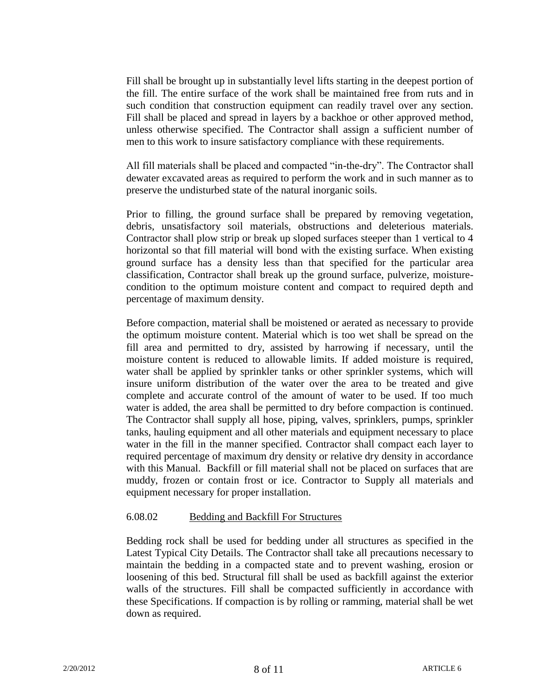Fill shall be brought up in substantially level lifts starting in the deepest portion of the fill. The entire surface of the work shall be maintained free from ruts and in such condition that construction equipment can readily travel over any section. Fill shall be placed and spread in layers by a backhoe or other approved method, unless otherwise specified. The Contractor shall assign a sufficient number of men to this work to insure satisfactory compliance with these requirements.

All fill materials shall be placed and compacted "in-the-dry". The Contractor shall dewater excavated areas as required to perform the work and in such manner as to preserve the undisturbed state of the natural inorganic soils.

Prior to filling, the ground surface shall be prepared by removing vegetation, debris, unsatisfactory soil materials, obstructions and deleterious materials. Contractor shall plow strip or break up sloped surfaces steeper than 1 vertical to 4 horizontal so that fill material will bond with the existing surface. When existing ground surface has a density less than that specified for the particular area classification, Contractor shall break up the ground surface, pulverize, moisturecondition to the optimum moisture content and compact to required depth and percentage of maximum density.

Before compaction, material shall be moistened or aerated as necessary to provide the optimum moisture content. Material which is too wet shall be spread on the fill area and permitted to dry, assisted by harrowing if necessary, until the moisture content is reduced to allowable limits. If added moisture is required, water shall be applied by sprinkler tanks or other sprinkler systems, which will insure uniform distribution of the water over the area to be treated and give complete and accurate control of the amount of water to be used. If too much water is added, the area shall be permitted to dry before compaction is continued. The Contractor shall supply all hose, piping, valves, sprinklers, pumps, sprinkler tanks, hauling equipment and all other materials and equipment necessary to place water in the fill in the manner specified. Contractor shall compact each layer to required percentage of maximum dry density or relative dry density in accordance with this Manual. Backfill or fill material shall not be placed on surfaces that are muddy, frozen or contain frost or ice. Contractor to Supply all materials and equipment necessary for proper installation.

# 6.08.02 Bedding and Backfill For Structures

Bedding rock shall be used for bedding under all structures as specified in the Latest Typical City Details. The Contractor shall take all precautions necessary to maintain the bedding in a compacted state and to prevent washing, erosion or loosening of this bed. Structural fill shall be used as backfill against the exterior walls of the structures. Fill shall be compacted sufficiently in accordance with these Specifications. If compaction is by rolling or ramming, material shall be wet down as required.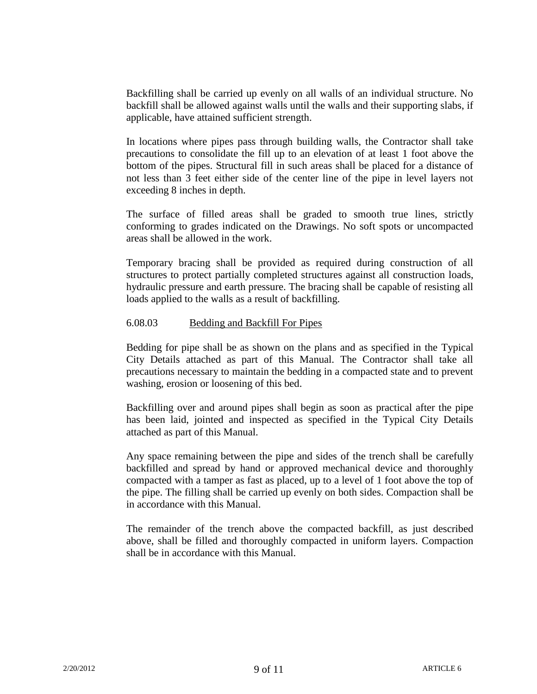Backfilling shall be carried up evenly on all walls of an individual structure. No backfill shall be allowed against walls until the walls and their supporting slabs, if applicable, have attained sufficient strength.

In locations where pipes pass through building walls, the Contractor shall take precautions to consolidate the fill up to an elevation of at least 1 foot above the bottom of the pipes. Structural fill in such areas shall be placed for a distance of not less than 3 feet either side of the center line of the pipe in level layers not exceeding 8 inches in depth.

The surface of filled areas shall be graded to smooth true lines, strictly conforming to grades indicated on the Drawings. No soft spots or uncompacted areas shall be allowed in the work.

Temporary bracing shall be provided as required during construction of all structures to protect partially completed structures against all construction loads, hydraulic pressure and earth pressure. The bracing shall be capable of resisting all loads applied to the walls as a result of backfilling.

# 6.08.03 Bedding and Backfill For Pipes

Bedding for pipe shall be as shown on the plans and as specified in the Typical City Details attached as part of this Manual. The Contractor shall take all precautions necessary to maintain the bedding in a compacted state and to prevent washing, erosion or loosening of this bed.

Backfilling over and around pipes shall begin as soon as practical after the pipe has been laid, jointed and inspected as specified in the Typical City Details attached as part of this Manual.

Any space remaining between the pipe and sides of the trench shall be carefully backfilled and spread by hand or approved mechanical device and thoroughly compacted with a tamper as fast as placed, up to a level of 1 foot above the top of the pipe. The filling shall be carried up evenly on both sides. Compaction shall be in accordance with this Manual.

The remainder of the trench above the compacted backfill, as just described above, shall be filled and thoroughly compacted in uniform layers. Compaction shall be in accordance with this Manual.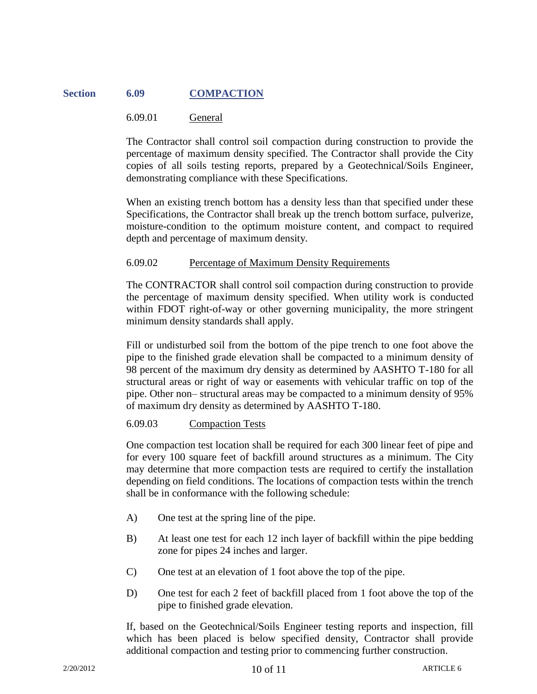# **Section 6.09 COMPACTION**

# 6.09.01 General

The Contractor shall control soil compaction during construction to provide the percentage of maximum density specified. The Contractor shall provide the City copies of all soils testing reports, prepared by a Geotechnical/Soils Engineer, demonstrating compliance with these Specifications.

When an existing trench bottom has a density less than that specified under these Specifications, the Contractor shall break up the trench bottom surface, pulverize, moisture-condition to the optimum moisture content, and compact to required depth and percentage of maximum density.

## 6.09.02 Percentage of Maximum Density Requirements

The CONTRACTOR shall control soil compaction during construction to provide the percentage of maximum density specified. When utility work is conducted within FDOT right-of-way or other governing municipality, the more stringent minimum density standards shall apply.

Fill or undisturbed soil from the bottom of the pipe trench to one foot above the pipe to the finished grade elevation shall be compacted to a minimum density of 98 percent of the maximum dry density as determined by AASHTO T-180 for all structural areas or right of way or easements with vehicular traffic on top of the pipe. Other non– structural areas may be compacted to a minimum density of 95% of maximum dry density as determined by AASHTO T-180.

# 6.09.03 Compaction Tests

One compaction test location shall be required for each 300 linear feet of pipe and for every 100 square feet of backfill around structures as a minimum. The City may determine that more compaction tests are required to certify the installation depending on field conditions. The locations of compaction tests within the trench shall be in conformance with the following schedule:

- A) One test at the spring line of the pipe.
- B) At least one test for each 12 inch layer of backfill within the pipe bedding zone for pipes 24 inches and larger.
- C) One test at an elevation of 1 foot above the top of the pipe.
- D) One test for each 2 feet of backfill placed from 1 foot above the top of the pipe to finished grade elevation.

If, based on the Geotechnical/Soils Engineer testing reports and inspection, fill which has been placed is below specified density, Contractor shall provide additional compaction and testing prior to commencing further construction.